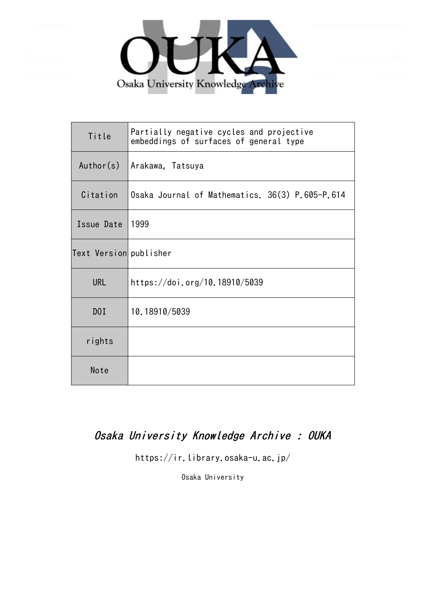

| Title                  | Partially negative cycles and projective<br>embeddings of surfaces of general type |
|------------------------|------------------------------------------------------------------------------------|
| Author(s)              | Arakawa, Tatsuya                                                                   |
| Citation               | Osaka Journal of Mathematics. 36(3) P.605-P.614                                    |
| Issue Date             | 1999                                                                               |
| Text Version publisher |                                                                                    |
| <b>URL</b>             | https://doi.org/10.18910/5039                                                      |
| DOI                    | 10.18910/5039                                                                      |
| rights                 |                                                                                    |
| Note                   |                                                                                    |

# Osaka University Knowledge Archive : OUKA

https://ir.library.osaka-u.ac.jp/

Osaka University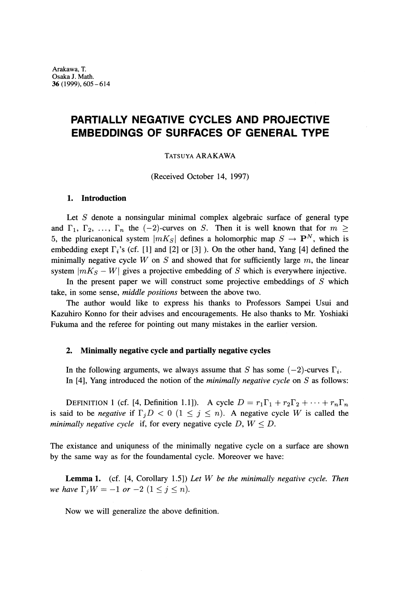## **PARTIALLY NEGATIVE CYCLES AND PROJECTIVE EMBEDDINGS OF SURFACES OF GENERAL TYPE**

#### TATSUYA ARAKAWA

(Received October 14, 1997)

#### **1. Introduction**

Let *S* denote a nonsingular minimal complex algebraic surface of general type and  $\Gamma_1, \Gamma_2, \ldots, \Gamma_n$  the  $(-2)$ -curves on *S*. Then it is well known that for  $m \ge$ 5, the pluricanonical system  $|mK_S|$  defines a holomorphic map  $S \to \mathbf{P}^N$ , which is embedding exept  $\Gamma_i$ 's (cf. [1] and [2] or [3] ). On the other hand, Yang [4] defined the minimally negative cycle  $W$  on  $S$  and showed that for sufficiently large  $m$ , the linear system  $|mK_S - W|$  gives a projective embedding of S which is everywhere injective.

In the present paper we will construct some projective embeddings of *S* which take, in some sense, *middle positions* between the above two.

The author would like to express his thanks to Professors Sampei Usui and Kazuhiro Konno for their advises and encouragements. He also thanks to Mr. Yoshiaki Fukuma and the referee for pointing out many mistakes in the earlier version.

#### **2. Minimally negative cycle and partially negative cycles**

In the following arguments, we always assume that S has some  $(-2)$ -curves  $\Gamma_i$ . In [4], Yang introduced the notion of the *minimally negative cycle* on *S* as follows:

DEFINITION 1 (cf. [4, Definition 1.1]). A cycle  $D = r_1 \Gamma_1 + r_2 \Gamma_2 + \cdots + r_n \Gamma_n$ is said to be *negative* if  $\Gamma_j D < 0$  ( $1 \leq j \leq n$ ). A negative cycle W is called the *minimally negative cycle* if, for every negative cycle  $D, W \leq D$ .

The existance and uniquness of the minimally negative cycle on a surface are shown by the same way as for the foundamental cycle. Moreover we have:

**Lemma 1.** (cf. [4, Corollary 1.5]) *Let W be the minimally negative cycle. Then we have*  $\Gamma_j W = -1$  *or*  $-2$   $(1 \le j \le n)$ .

Now we will generalize the above definition.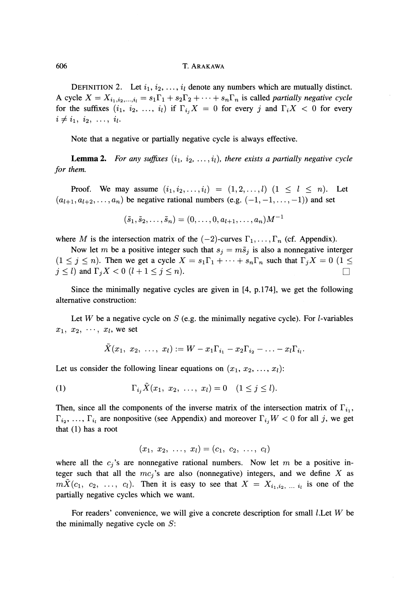#### 606 T. ARAKAWA

DEFINITION 2. Let  $i_1, i_2, \ldots, i_l$  denote any numbers which are mutually distinct. A cycle  $X = X_{i_1, i_2, ..., i_l} = s_1 \Gamma_1 + s_2 \Gamma_2 + \cdots + s_n \Gamma_n$  is called *partially negative cycle* for the suffixes  $(i_1, i_2, ..., i_l)$  if  $\Gamma_{i_j}X = 0$  for every *j* and  $\Gamma_iX < 0$  for every  $i \neq i_1, i_2, \ldots, i_l.$ 

Note that a negative or partially negative cycle is always effective.

**Lemma 2.** For any suffixes  $(i_1, i_2, \ldots, i_l)$ , there exists a partially negative cycle *for them.*

Proof. We may assume  $(i_1, i_2, ..., i_l) = (1, 2, ..., l)$   $(1 \leq l \leq n)$ . Let  $(a_{l+1}, a_{l+2}, \ldots, a_n)$  be negative rational numbers (e.g.  $(-1, -1, \ldots, -1)$ ) and set

$$
(\tilde{s}_1, \tilde{s}_2, \ldots, \tilde{s}_n) = (0, \ldots, 0, a_{l+1}, \ldots, a_n)M^{-1}
$$

where M is the intersection matrix of the  $(-2)$ -curves  $\Gamma_1, \ldots, \Gamma_n$  (cf. Appendix).

Now let m be a positive integer such that  $s_j = m\tilde{s}_j$  is also a nonnegative interger  $(1 \leq j \leq n)$ . Then we get a cycle  $X = s_1 \Gamma_1 + \cdots + s_n \Gamma_n$  such that  $\Gamma_j X = 0$   $(1 \leq$  $j \leq l$  and  $\Gamma_j X < 0$  ( $l + 1 \leq j \leq n$ ).

Since the minimally negative cycles are given in [4, p. 174], we get the following alternative construction:

Let  $W$  be a negative cycle on  $S$  (e.g. the minimally negative cycle). For  $l$ -variables  $x_1, x_2, \cdots, x_l$ , we set

$$
\bar{X}(x_1, \ x_2, \ \ldots, \ x_l) := W - x_1 \Gamma_{i_1} - x_2 \Gamma_{i_2} - \ldots - x_l \Gamma_{i_l}.
$$

Let us consider the following linear equations on  $(x_1, x_2, \ldots, x_l)$ :

(1) 
$$
\Gamma_{i_j} \tilde{X}(x_1, x_2, \ldots, x_l) = 0 \quad (1 \leq j \leq l).
$$

Then, since all the components of the inverse matrix of the intersection matrix of  $\Gamma_{i_1}$ ,  $\Gamma_{i_2}, \ldots, \Gamma_{i_l}$  are nonpositive (see Appendix) and moreover  $\Gamma_{i_j} W < 0$  for all j, we get that (1) has a root

$$
(x_1, x_2, \ldots, x_l) = (c_1, c_2, \ldots, c_l)
$$

where all the  $c_i$ 's are nonnegative rational numbers. Now let m be a positive integer such that all the  $mc_j$ 's are also (nonnegative) integers, and we define X as  $mX(c_1, c_2, \ldots, c_l)$ . Then it is easy to see that  $X = X_{i_1, i_2, \ldots, i_l}$  is one of the partially negative cycles which we want.

For readers' convenience, we will give a concrete description for small /.Let *W* be the minimally negative cycle on *S:*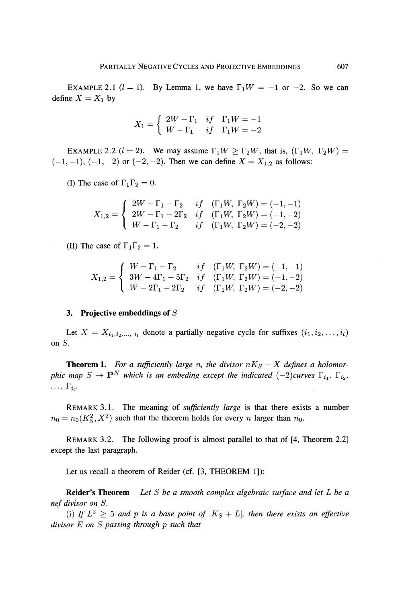EXAMPLE 2.1  $(l = 1)$ . By Lemma 1, we have  $\Gamma_1 W = -1$  or  $-2$ . So we can define  $X = X_1$  by

$$
X_1=\left\{\begin{array}{ccc}2W-\Gamma_1&if&\Gamma_1W=-1\\W-\Gamma_1&if&\Gamma_1W=-2\end{array}\right.
$$

EXAMPLE 2.2 ( $l = 2$ ). We may assume  $\Gamma_1 W \geq \Gamma_2 W$ , that is,  $(\Gamma_1 W, \Gamma_2 W) =$  $(-1, -1)$ ,  $(-1, -2)$  or  $(-2, -2)$ . Then we can define  $X = X_{1,2}$  as follows:

(I) The case of  $\Gamma_1 \Gamma_2 = 0$ .

$$
X_{1,2} = \begin{cases} 2W - \Gamma_1 - \Gamma_2 & if \ (\Gamma_1 W, \ \Gamma_2 W) = (-1, -1) \\ 2W - \Gamma_1 - 2\Gamma_2 & if \ (\Gamma_1 W, \ \Gamma_2 W) = (-1, -2) \\ W - \Gamma_1 - \Gamma_2 & if \ (\Gamma_1 W, \ \Gamma_2 W) = (-2, -2) \end{cases}
$$

(II) The case of  $\Gamma_1 \Gamma_2 = 1$ .

$$
X_{1,2} = \begin{cases} W - \Gamma_1 - \Gamma_2 & if \ (\Gamma_1 W, \ \Gamma_2 W) = (-1, -1) \\ 3W - 4\Gamma_1 - 5\Gamma_2 & if \ (\Gamma_1 W, \ \Gamma_2 W) = (-1, -2) \\ W - 2\Gamma_1 - 2\Gamma_2 & if \ (\Gamma_1 W, \ \Gamma_2 W) = (-2, -2) \end{cases}
$$

#### **3. Projective embeddings of** *S*

Let  $X = X_{i_1, i_2, ..., i_l}$  denote a partially negative cycle for suffixes  $(i_1, i_2, ..., i_l)$ on  $S$ .

**Theorem 1.** For a sufficiently large n, the divisor  $nK_S - X$  defines a holomor*phic map*  $S \to \mathbf{P}^N$  which is an embeding except the indicated  $(-2)$ curves  $\Gamma_{i_1}$ ,  $\Gamma_{i_2}$ ,  $\ldots, \Gamma_{i_l}.$ 

REMARK 3.1. The meaning of *sufficiently large* is that there exists a number  $n_0 = n_0(K_S^2, X^2)$  such that the theorem holds for every n larger than  $n_0$ 

REMARK 3.2. The following proof is almost parallel to that of [4, Theorem 2.2] except the last paragraph.

Let us recall a theorem of Reider (cf. [3, THEOREM 1]):

**Reider's Theorem** *Let S be a smooth complex algebraic surface and let L be a nef divisor on S.*

(i) If  $L^2 \geq 5$  and p is a base point of  $|K_S + L|$ , then there exists an effective *divisor E on S passing through p such that*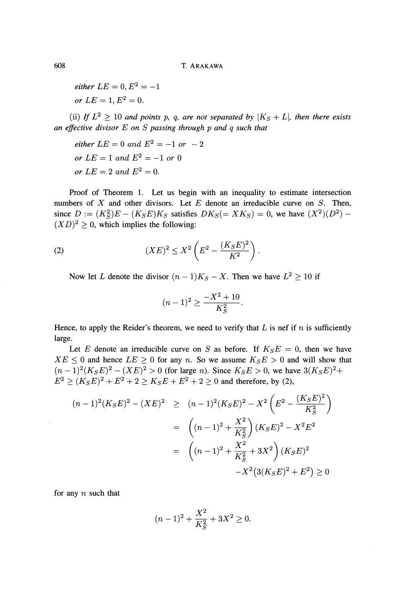$\emph{either}\ \ L E=0, E^{2}=-1$ or  $LE = 1, E^2 = 0.$ 

(ii) If  $L^2 \geq 10$  and points p, q, are not separated by  $|K_S + L|$ , then there exists *an effective divisor E on S passing through p and q such that*

 $\epsilon$ *ither*  $LE = 0$  *and*  $E^2 = -1$  *or*  $-2$  $or$   $LE = 1$  and  $E^2 = -1$  or 0 *or*  $LE = 2$  and  $E^2 = 0$ .

Proof of Theorem 1. Let us begin with an inequality to estimate intersection numbers of *X* and other divisors. Let *E* denote an irreducible curve on *S.* Then,  $S = (K_S^2)E - (K_S E)K_S$  satisfies  $DK_S(=XK_S) = 0$ , we have  $(X^2)(D^2) (XD)^2 \geq 0$ , which implies the following:

(2) 
$$
(XE)^2 \le X^2 \left( E^2 - \frac{(K_S E)^2}{K^2} \right)
$$

Now let L denote the divisor  $(n-1)K_S - X$ . Then we have  $L^2 \ge 10$  if

$$
(n-1)^2 \geq \frac{-X^2 + 10}{K_S^2}.
$$

Hence, to apply the Reider's theorem, we need to verify that *L* is nef if *n* is sufficiently large.

Let E denote an irreducible curve on S as before. If  $K_S E = 0$ , then we have  $XE \leq 0$  and hence  $LE \geq 0$  for any *n*. So we assume  $K_S E > 0$  and will show that  $(n-1)^2(K_S E)^2 - (XE)^2 > 0$  (for large *n*). Since  $K_S E > 0$ , we have  $3(K_S E)^2 +$  $E^2 \ge (K_S E)^2 + E^2 + 2 \ge K_S E + E^2 + 2 \ge 0$  and therefore, by (2),

$$
(n-1)^2(K_S E)^2 - (XE)^2 \ge (n-1)^2(K_S E)^2 - X^2 \left(E^2 - \frac{(K_S E)^2}{K_S^2}\right)
$$
  

$$
= \left((n-1)^2 + \frac{X^2}{K_S^2}\right)(K_S E)^2 - X^2 E^2
$$
  

$$
= \left((n-1)^2 + \frac{X^2}{K_S^2} + 3X^2\right)(K_S E)^2
$$
  

$$
-X^2(3(K_S E)^2 + E^2) \ge 0
$$

for any *n* such that

$$
(n-1)^2 + \frac{X^2}{K_S^2} + 3X^2 \ge 0.
$$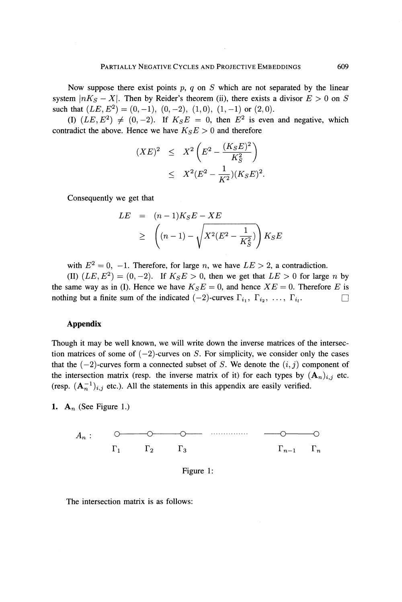Now suppose there exist points *p, q* on *S* which are not separated by the linear system  $|nK_S - X|$ . Then by Reider's theorem (ii), there exists a divisor  $E > 0$  on S such that  $(LE, E^2) = (0, -1), (0, -2), (1, 0), (1, -1)$  or  $(2, 0)$ .

(I)  $(LE, E^2) \neq (0, -2)$ . If  $K_S E = 0$ , then  $E^2$  is even and negative, which contradict the above. Hence we have  $K_S E > 0$  and therefore

$$
(XE)^{2} \leq X^{2} \left( E^{2} - \frac{(K_{S}E)^{2}}{K_{S}^{2}} \right) \leq X^{2} (E^{2} - \frac{1}{K^{2}}) (K_{S}E)^{2}.
$$

Consequently we get that

$$
LE = (n-1)K_S E - XE
$$
  
\n
$$
\geq \left( (n-1) - \sqrt{X^2(E^2 - \frac{1}{K_S^2})} \right) K_S E
$$

with  $E^2 = 0$ ,  $-1$ . Therefore, for large *n*, we have  $LE > 2$ , a contradiction.

(II)  $(LE, E^2) = (0, -2)$ . If  $K_S E > 0$ , then we get that  $LE > 0$  for large *n* by the same way as in (I). Hence we have  $K_S E = 0$ , and hence  $X E = 0$ . Therefore *E* is nothing but a finite sum of the indicated  $(-2)$ -curves  $\Gamma_{i_1}, \Gamma_{i_2}, \ldots, \Gamma_{i_l}$ .

### Appendix

Though it may be well known, we will write down the inverse matrices of the intersec tion matrices of some of  $(-2)$ -curves on *S*. For simplicity, we consider only the cases that the  $(-2)$ -curves form a connected subset of *S*. We denote the  $(i, j)$  component of the intersection matrix (resp. the inverse matrix of it) for each types by  $(A_n)_{i,j}$  etc. (resp.  $(A_n^{-1})_{i,j}$  etc.). All the statements in this appendix are easily verified.

**1.**  $A_n$  (See Figure 1.)





The intersection matrix is as follows: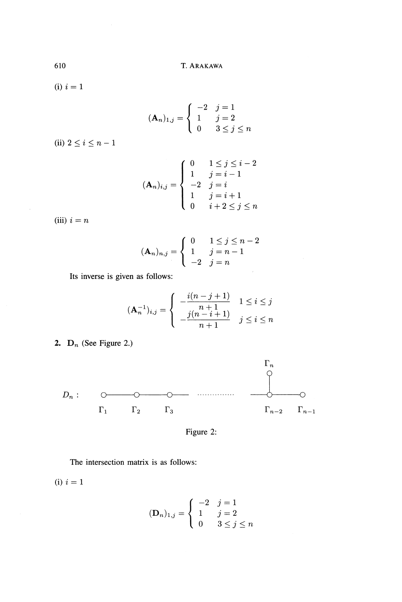(i) *i =* 1

$$
(\mathbf{A}_n)_{1,j} = \begin{cases} -2 & j = 1\\ 1 & j = 2\\ 0 & 3 \le j \le n \end{cases}
$$

(ii)  $2 \le i \le n-1$ 

$$
(\mathbf{A}_n)_{i,j} = \begin{cases} 0 & 1 \le j \le i-2 \\ 1 & j = i-1 \\ -2 & j = i \\ 1 & j = i+1 \\ 0 & i+2 \le j \le n \end{cases}
$$

(iii)  $i = n$ 

 $\overline{\phantom{a}}$ 

$$
(\mathbf{A}_n)_{n,j} = \begin{cases} 0 & 1 \le j \le n-2 \\ 1 & j = n-1 \\ -2 & j = n \end{cases}
$$

Its inverse is given as follows:

$$
(\mathbf{A}_n^{-1})_{i,j} = \begin{cases} -\frac{i(n-j+1)}{n+1} & 1 \le i \le j \\ -\frac{j(n-i+1)}{n+1} & j \le i \le n \end{cases}
$$

**2.**  $\mathbf{D}_n$  (See Figure 2.)



Figure 2:

The intersection matrix is as follows:

(i) *i =* 1

$$
(\mathbf{D}_n)_{1,j} = \begin{cases} -2 & j = 1\\ 1 & j = 2\\ 0 & 3 \le j \le n \end{cases}
$$

610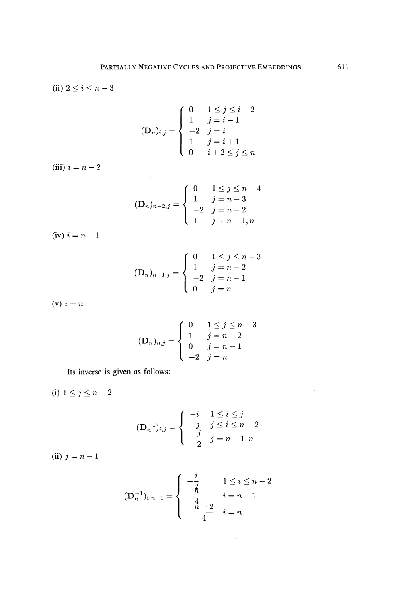(ii) 
$$
2 \leq i \leq n-3
$$

$$
(\mathbf{D}_n)_{i,j} = \begin{cases} 0 & 1 \le j \le i-2 \\ 1 & j = i-1 \\ -2 & j = i \\ 1 & j = i+1 \\ 0 & i+2 \le j \le n \end{cases}
$$

(iii)  $i = n - 2$ 

$$
(\mathbf{D}_n)_{n-2,j} = \begin{cases} 0 & 1 \le j \le n-4 \\ 1 & j = n-3 \\ -2 & j = n-2 \\ 1 & j = n-1, n \end{cases}
$$

(iv)  $i = n - 1$ 

$$
(\mathbf{D}_n)_{n-1,j} = \begin{cases} 0 & 1 \le j \le n-3 \\ 1 & j = n-2 \\ -2 & j = n-1 \\ 0 & j = n \end{cases}
$$

(v)  $i = n$ 

$$
(\mathbf{D}_n)_{n,j} = \begin{cases} 0 & 1 \le j \le n-3 \\ 1 & j = n-2 \\ 0 & j = n-1 \\ -2 & j = n \end{cases}
$$

Its inverse is given as follows:

(i)  $1 \le j \le n-2$ 

$$
(\mathbf{D}_n^{-1})_{i,j} = \begin{cases} -i & 1 \le i \le j \\ -j & j \le i \le n-2 \\ -\frac{j}{2} & j = n-1, n \end{cases}
$$

(ii)  $j = n - 1$ 

$$
(\mathbf{D}_n^{-1})_{i,n-1} = \begin{cases} -\frac{i}{2} & 1 \le i \le n-2 \\ -\frac{2}{4} & i = n-1 \\ -\frac{n-2}{4} & i = n \end{cases}
$$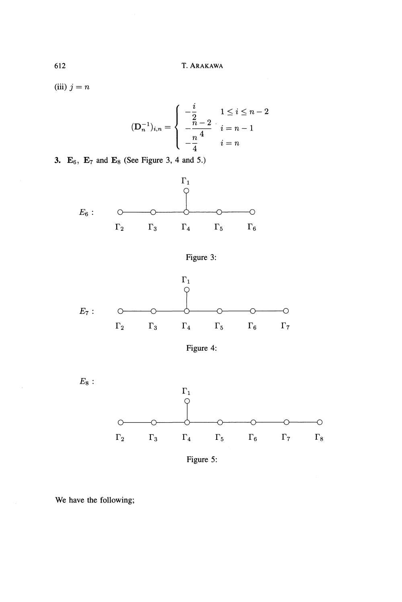$(iii)$   $j = n$ 

$$
(\mathbf{D}_n^{-1})_{i,n} = \begin{cases} -\frac{i}{2} & 1 \le i \le n-2 \\ -\frac{n-2}{4} & i = n-1 \\ -\frac{n}{4} & i = n \end{cases}
$$

**3.**  $\mathbf{E}_6$ ,  $\mathbf{E}_7$  and  $\mathbf{E}_8$  (See Figure 3, 4 and 5.)











Figure 5:

We have the following;

J.

612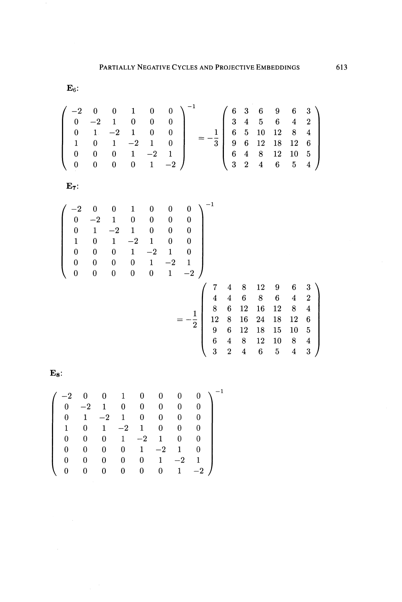${\bf E}_6$ :

$$
\begin{pmatrix}\n-2 & 0 & 0 & 1 & 0 & 0 \\
0 & -2 & 1 & 0 & 0 & 0 \\
0 & 1 & -2 & 1 & 0 & 0 \\
1 & 0 & 1 & -2 & 1 & 0 \\
0 & 0 & 0 & 1 & -2 & 1 \\
0 & 0 & 0 & 0 & 1 & -2\n\end{pmatrix}^{-1} = -\frac{1}{3} \begin{pmatrix}\n6 & 3 & 6 & 9 & 6 & 3 \\
3 & 4 & 5 & 6 & 4 & 2 \\
6 & 5 & 10 & 12 & 8 & 4 \\
9 & 6 & 12 & 18 & 12 & 6 \\
6 & 4 & 8 & 12 & 10 & 5 \\
3 & 2 & 4 & 6 & 5 & 4\n\end{pmatrix}
$$

 ${\bf E_7}$ 

$$
\begin{pmatrix}\n-2 & 0 & 0 & 1 & 0 & 0 & 0 \\
0 & -2 & 1 & 0 & 0 & 0 & 0 \\
0 & 1 & -2 & 1 & 0 & 0 & 0 \\
1 & 0 & 1 & -2 & 1 & 0 & 0 \\
0 & 0 & 0 & 1 & -2 & 1 & 0 \\
0 & 0 & 0 & 0 & 1 & -2 & 1 \\
0 & 0 & 0 & 0 & 0 & 1 & -2\n\end{pmatrix}
$$
\n
$$
= -\frac{1}{2} \begin{pmatrix}\n7 & 4 & 8 & 12 & 9 & 6 & 3 \\
4 & 4 & 6 & 8 & 6 & 4 & 2 \\
8 & 6 & 12 & 16 & 12 & 8 & 4 \\
12 & 8 & 16 & 24 & 18 & 12 & 6 \\
9 & 6 & 12 & 18 & 15 & 10 & 5 \\
9 & 6 & 12 & 18 & 15 & 10 & 5 \\
6 & 4 & 8 & 12 & 10 & 8 & 4 \\
3 & 2 & 4 & 6 & 5 & 4 & 3\n\end{pmatrix}
$$

 ${\bf E_8}$ 

| $^{-2}$  | $\overline{0}$ | $\bf{0}$     | $\overline{1}$ | $\mathbf{0}$ | $0^-$        | $0^-$        |              |  |
|----------|----------------|--------------|----------------|--------------|--------------|--------------|--------------|--|
|          | $0 \quad -2$   | 1            | $\bf{0}$       | 0            | 0            | 0            | 0.           |  |
| $0^-$    | $\mathbf{1}$   | $-2$         | $\mathbf{1}$   | $\theta$     | 0            |              | 0            |  |
| 1        | 0.             |              | $1 -2$         | $\mathbf{1}$ | $\bf{0}$     | $\theta$     |              |  |
| $\Omega$ | 0              | $\mathbf{0}$ |                | $1 -2$       | $\mathbf{1}$ | $\bf{0}$     |              |  |
| 0        | 0              | 0            | 0              |              | $1 \quad -2$ | $\mathbf{1}$ |              |  |
| 0        | 0              | 0            | 0              | $\mathbf{0}$ | $\mathbf{1}$ | $-2$         | $\mathbf{1}$ |  |
|          |                | 0            | 0              | 0            | $\mathbf{0}$ | $\mathbf{1}$ | $-2$         |  |